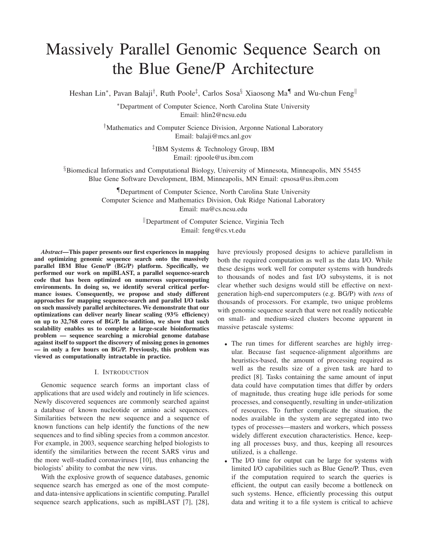# Massively Parallel Genomic Sequence Search on the Blue Gene/P Architecture

Heshan Lin\*, Pavan Balaji<sup>†</sup>, Ruth Poole<sup>‡</sup>, Carlos Sosa<sup>§</sup> Xiaosong Ma¶ and Wu-chun Feng<sup>||</sup>

<sup>∗</sup>Department of Computer Science, North Carolina State University Email: hlin2@ncsu.edu

†Mathematics and Computer Science Division, Argonne National Laboratory Email: balaji@mcs.anl.gov

> ‡ IBM Systems & Technology Group, IBM Email: rjpoole@us.ibm.com

§Biomedical Informatics and Computational Biology, University of Minnesota, Minneapolis, MN 55455 Blue Gene Software Development, IBM, Minneapolis, MN Email: cpsosa@us.ibm.com

> ¶Department of Computer Science, North Carolina State University Computer Science and Mathematics Division, Oak Ridge National Laboratory Email: ma@cs.ncsu.edu

> > Department of Computer Science, Virginia Tech Email: feng@cs.vt.edu

*Abstract***—This paper presents our first experiences in mapping and optimizing genomic sequence search onto the massively parallel IBM Blue Gene/P (BG/P) platform. Specifically, we performed our work on mpiBLAST, a parallel sequence-search code that has been optimized on numerous supercomputing environments. In doing so, we identify several critical performance issues. Consequently, we propose and study different approaches for mapping sequence-search and parallel I/O tasks on such massively parallel architectures. We demonstrate that our optimizations can deliver nearly linear scaling (93% efficiency) on up to 32,768 cores of BG/P. In addition, we show that such scalability enables us to complete a large-scale bioinformatics problem — sequence searching a microbial genome database against itself to support the discovery of missing genes in genomes — in only a few hours on BG/P. Previously, this problem was viewed as computationally intractable in practice.**

## I. INTRODUCTION

Genomic sequence search forms an important class of applications that are used widely and routinely in life sciences. Newly discovered sequences are commonly searched against a database of known nucleotide or amino acid sequences. Similarities between the new sequence and a sequence of known functions can help identify the functions of the new sequences and to find sibling species from a common ancestor. For example, in 2003, sequence searching helped biologists to identify the similarities between the recent SARS virus and the more well-studied coronaviruses [10], thus enhancing the biologists' ability to combat the new virus.

With the explosive growth of sequence databases, genomic sequence search has emerged as one of the most computeand data-intensive applications in scientific computing. Parallel sequence search applications, such as mpiBLAST [7], [28], have previously proposed designs to achieve parallelism in both the required computation as well as the data I/O. While these designs work well for computer systems with hundreds to thousands of nodes and fast I/O subsystems, it is not clear whether such designs would still be effective on nextgeneration high-end supercomputers (e.g. BG/P) with *tens* of thousands of processors. For example, two unique problems with genomic sequence search that were not readily noticeable on small- and medium-sized clusters become apparent in massive petascale systems:

- The run times for different searches are highly irregular. Because fast sequence-alignment algorithms are heuristics-based, the amount of processing required as well as the results size of a given task are hard to predict [8]. Tasks containing the same amount of input data could have computation times that differ by orders of magnitude, thus creating huge idle periods for some processes, and consequently, resulting in under-utilization of resources. To further complicate the situation, the nodes available in the system are segregated into two types of processes—masters and workers, which possess widely different execution characteristics. Hence, keeping all processes busy, and thus, keeping all resources utilized, is a challenge.
- The I/O time for output can be large for systems with limited I/O capabilities such as Blue Gene/P. Thus, even if the computation required to search the queries is efficient, the output can easily become a bottleneck on such systems. Hence, efficiently processing this output data and writing it to a file system is critical to achieve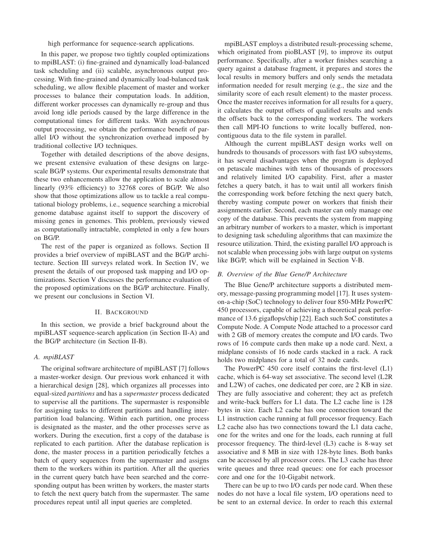high performance for sequence-search applications.

In this paper, we propose two tightly coupled optimizations to mpiBLAST: (i) fine-grained and dynamically load-balanced task scheduling and (ii) scalable, asynchronous output processing. With fine-grained and dynamically load-balanced task scheduling, we allow flexible placement of master and worker processes to balance their computation loads. In addition, different worker processes can dynamically re-group and thus avoid long idle periods caused by the large difference in the computational times for different tasks. With asynchronous output processing, we obtain the performance benefit of parallel I/O without the synchronization overhead imposed by traditional collective I/O techniques.

Together with detailed descriptions of the above designs, we present extensive evaluation of these designs on largescale BG/P systems. Our experimental results demonstrate that these two enhancements allow the application to scale almost linearly (93% efficiency) to 32768 cores of BG/P. We also show that those optimizations allow us to tackle a real computational biology problems, i.e., sequence searching a microbial genome database against itself to support the discovery of missing genes in genomes. This problem, previously viewed as computationally intractable, completed in only a few hours on BG/P.

The rest of the paper is organized as follows. Section II provides a brief overview of mpiBLAST and the BG/P architecture. Section III surveys related work. In Section IV, we present the details of our proposed task mapping and I/O optimizations. Section V discusses the performance evaluation of the proposed optimizations on the BG/P architecture. Finally, we present our conclusions in Section VI.

#### II. BACKGROUND

In this section, we provide a brief background about the mpiBLAST sequence-search application (in Section II-A) and the BG/P architecture (in Section II-B).

## *A. mpiBLAST*

The original software architecture of mpiBLAST [7] follows a master-worker design. Our previous work enhanced it with a hierarchical design [28], which organizes all processes into equal-sized *partitions* and has a *supermaster* process dedicated to supervise all the partitions. The supermaster is responsible for assigning tasks to different partitions and handling interpartition load balancing. Within each partition, one process is designated as the master, and the other processes serve as workers. During the execution, first a copy of the database is replicated to each partition. After the database replication is done, the master process in a partition periodically fetches a batch of query sequences from the supermaster and assigns them to the workers within its partition. After all the queries in the current query batch have been searched and the corresponding output has been written by workers, the master starts to fetch the next query batch from the supermaster. The same procedures repeat until all input queries are completed.

mpiBLAST employs a distributed result-processing scheme, which originated from pioBLAST [9], to improve its output performance. Specifically, after a worker finishes searching a query against a database fragment, it prepares and stores the local results in memory buffers and only sends the metadata information needed for result merging (e.g., the size and the similarity score of each result element) to the master process. Once the master receives information for all results for a query, it calculates the output offsets of qualified results and sends the offsets back to the corresponding workers. The workers then call MPI-IO functions to write locally buffered, noncontiguous data to the file system in parallel.

Although the current mpiBLAST design works well on hundreds to thousands of processors with fast I/O subsystems, it has several disadvantages when the program is deployed on petascale machines with tens of thousands of processors and relatively limited I/O capability. First, after a master fetches a query batch, it has to wait until all workers finish the corresponding work before fetching the next query batch, thereby wasting compute power on workers that finish their assignments earlier. Second, each master can only manage one copy of the database. This prevents the system from mapping an arbitrary number of workers to a master, which is important to designing task scheduling algorithms that can maximize the resource utilization. Third, the existing parallel I/O approach is not scalable when processing jobs with large output on systems like BG/P, which will be explained in Section V-B.

#### *B. Overview of the Blue Gene/P Architecture*

The Blue Gene/P architecture supports a distributed memory, message-passing programming model [17]. It uses systemon-a-chip (SoC) technology to deliver four 850-MHz PowerPC 450 processors, capable of achieving a theoretical peak performance of 13.6 gigaflops/chip [22]. Each such SoC constitutes a Compute Node. A Compute Node attached to a processor card with 2 GB of memory creates the compute and I/O cards. Two rows of 16 compute cards then make up a node card. Next, a midplane consists of 16 node cards stacked in a rack. A rack holds two midplanes for a total of 32 node cards.

The PowerPC 450 core itself contains the first-level (L1) cache, which is 64-way set associative. The second level (L2R and L2W) of caches, one dedicated per core, are 2 KB in size. They are fully associative and coherent; they act as prefetch and write-back buffers for L1 data. The L2 cache line is 128 bytes in size. Each L2 cache has one connection toward the L1 instruction cache running at full processor frequency. Each L2 cache also has two connections toward the L1 data cache, one for the writes and one for the loads, each running at full processor frequency. The third-level (L3) cache is 8-way set associative and 8 MB in size with 128-byte lines. Both banks can be accessed by all processor cores. The L3 cache has three write queues and three read queues: one for each processor core and one for the 10-Gigabit network.

There can be up to two I/O cards per node card. When these nodes do not have a local file system, I/O operations need to be sent to an external device. In order to reach this external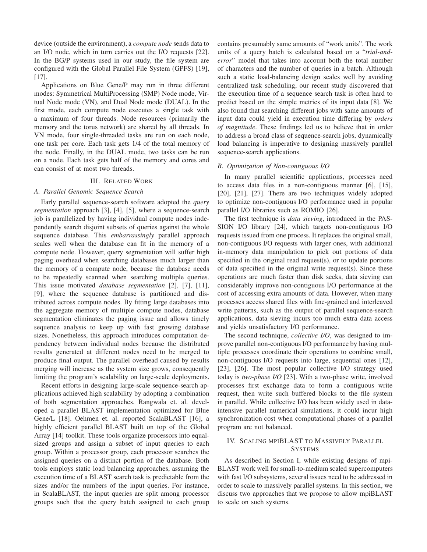device (outside the environment), a *compute node* sends data to an I/O node, which in turn carries out the I/O requests [22]. In the BG/P systems used in our study, the file system are configured with the Global Parallel File System (GPFS) [19], [17].

Applications on Blue Gene/P may run in three different modes: Symmetrical MultiProcessing (SMP) Node mode, Virtual Node mode (VN), and Dual Node mode (DUAL). In the first mode, each compute node executes a single task with a maximum of four threads. Node resources (primarily the memory and the torus network) are shared by all threads. In VN mode, four single-threaded tasks are run on each node, one task per core. Each task gets 1/4 of the total memory of the node. Finally, in the DUAL mode, two tasks can be run on a node. Each task gets half of the memory and cores and can consist of at most two threads.

#### III. RELATED WORK

#### *A. Parallel Genomic Sequence Search*

Early parallel sequence-search software adopted the *query segmentation* approach [3], [4], [5], where a sequence-search job is parallelized by having individual compute nodes independently search disjoint subsets of queries against the whole sequence database. This *embarrassingly* parallel approach scales well when the database can fit in the memory of a compute node. However, query segmentation will suffer high paging overhead when searching databases much larger than the memory of a compute node, because the database needs to be repeatedly scanned when searching multiple queries. This issue motivated *database segmentation* [2], [7], [11], [9], where the sequence database is partitioned and distributed across compute nodes. By fitting large databases into the aggregate memory of multiple compute nodes, database segmentation eliminates the paging issue and allows timely sequence analysis to keep up with fast growing database sizes. Nonetheless, this approach introduces computation dependency between individual nodes because the distributed results generated at different nodes need to be merged to produce final output. The parallel overhead caused by results merging will increase as the system size grows, consequently limiting the program's scalability on large-scale deployments.

Recent efforts in designing large-scale sequence-search applications achieved high scalability by adopting a combination of both segmentation approaches. Rangwala et. al. developed a parallel BLAST implementation optimized for Blue Gene/L [18]. Oehmen et. al. reported ScalaBLAST [16], a highly efficient parallel BLAST built on top of the Global Array [14] toolkit. These tools organize processors into equalsized groups and assign a subset of input queries to each group. Within a processor group, each processor searches the assigned queries on a distinct portion of the database. Both tools employs static load balancing approaches, assuming the execution time of a BLAST search task is predictable from the sizes and/or the numbers of the input queries. For instance, in ScalaBLAST, the input queries are split among processor groups such that the query batch assigned to each group contains presumably same amounts of "work units". The work units of a query batch is calculated based on a "*trial-anderror*" model that takes into account both the total number of characters and the number of queries in a batch. Although such a static load-balancing design scales well by avoiding centralized task scheduling, our recent study discovered that the execution time of a sequence search task is often hard to predict based on the simple metrics of its input data [8]. We also found that searching different jobs with same amounts of input data could yield in execution time differing by *orders of magnitude*. These findings led us to believe that in order to address a broad class of sequence-search jobs, dynamically load balancing is imperative to designing massively parallel sequence-search applications.

#### *B. Optimization of Non-contiguous I/O*

In many parallel scientific applications, processes need to access data files in a non-contiguous manner [6], [15], [20], [21], [27]. There are two techniques widely adopted to optimize non-contiguous I/O performance used in popular parallel I/O libraries such as ROMIO [26].

The first technique is *data sieving*, introduced in the PAS-SION I/O library [24], which targets non-contiguous I/O requests issued from one process. It replaces the original small, non-contiguous I/O requests with larger ones, with additional in-memory data manipulation to pick out portions of data specified in the original read request(s), or to update portions of data specified in the original write request(s). Since these operations are much faster than disk seeks, data sieving can considerably improve non-contiguous I/O performance at the cost of accessing extra amounts of data. However, when many processes access shared files with fine-grained and interleaved write patterns, such as the output of parallel sequence-search applications, data sieving incurs too much extra data access and yields unsatisfactory I/O performance.

The second technique, *collective I/O*, was designed to improve parallel non-contiguous I/O performance by having multiple processes coordinate their operations to combine small, non-contiguous I/O requests into large, sequential ones [12], [23], [26]. The most popular collective I/O strategy used today is *two-phase I/O* [23]. With a two-phase write, involved processes first exchange data to form a contiguous write request, then write such buffered blocks to the file system in parallel. While collective I/O has been widely used in dataintensive parallel numerical simulations, it could incur high synchronization cost when computational phases of a parallel program are not balanced.

## IV. SCALING MPIBLAST TO MASSIVELY PARALLEL **SYSTEMS**

As described in Section I, while existing designs of mpi-BLAST work well for small-to-medium scaled supercomputers with fast I/O subsystems, several issues need to be addressed in order to scale to massively parallel systems. In this section, we discuss two approaches that we propose to allow mpiBLAST to scale on such systems.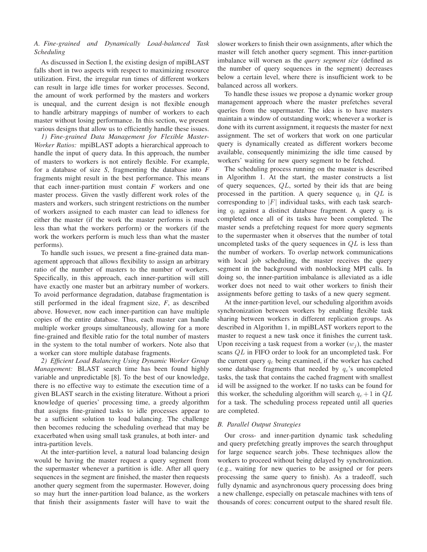## *A. Fine-grained and Dynamically Load-balanced Task Scheduling*

As discussed in Section I, the existing design of mpiBLAST falls short in two aspects with respect to maximizing resource utilization. First, the irregular run times of different workers can result in large idle times for worker processes. Second, the amount of work performed by the masters and workers is unequal, and the current design is not flexible enough to handle arbitrary mappings of number of workers to each master without losing performance. In this section, we present various designs that allow us to efficiently handle these issues.

*1) Fine-grained Data Management for Flexible Master-Worker Ratios:* mpiBLAST adopts a hierarchical approach to handle the input of query data. In this approach, the number of masters to workers is not entirely flexible. For example, for a database of size *S*, fragmenting the database into *F* fragments might result in the best performance. This means that each inner-partition must contain *F* workers and one master process. Given the vastly different work roles of the masters and workers, such stringent restrictions on the number of workers assigned to each master can lead to idleness for either the master (if the work the master performs is much less than what the workers perform) or the workers (if the work the workers perform is much less than what the master performs).

To handle such issues, we present a fine-grained data management approach that allows flexibility to assign an arbitrary ratio of the number of masters to the number of workers. Specifically, in this approach, each inner-partition will still have exactly one master but an arbitrary number of workers. To avoid performance degradation, database fragmentation is still performed in the ideal fragment size, *F*, as described above. However, now each inner-partition can have multiple copies of the entire database. Thus, each master can handle multiple worker groups simultaneously, allowing for a more fine-grained and flexible ratio for the total number of masters in the system to the total number of workers. Note also that a worker can store multiple database fragments.

*2) Efficient Load Balancing Using Dynamic Worker Group Management:* BLAST search time has been found highly variable and unpredictable [8]. To the best of our knowledge, there is no effective way to estimate the execution time of a given BLAST search in the existing literature. Without a priori knowledge of queries' processing time, a greedy algorithm that assigns fine-grained tasks to idle processes appear to be a sufficient solution to load balancing. The challenge then becomes reducing the scheduling overhead that may be exacerbated when using small task granules, at both inter- and intra-partition levels.

At the inter-partition level, a natural load balancing design would be having the master request a query segment from the supermaster whenever a partition is idle. After all query sequences in the segment are finished, the master then requests another query segment from the supermaster. However, doing so may hurt the inner-partition load balance, as the workers that finish their assignments faster will have to wait the

slower workers to finish their own assignments, after which the master will fetch another query segment. This inner-partition imbalance will worsen as the *query segment size* (defined as the number of query sequences in the segment) decreases below a certain level, where there is insufficient work to be balanced across all workers.

To handle these issues we propose a dynamic worker group management approach where the master prefetches several queries from the supermaster. The idea is to have masters maintain a window of outstanding work; whenever a worker is done with its current assignment, it requests the master for next assignment. The set of workers that work on one particular query is dynamically created as different workers become available, consequently minimizing the idle time caused by workers' waiting for new query segment to be fetched.

The scheduling process running on the master is described in Algorithm 1. At the start, the master constructs a list of query sequences,  $QL$ , sorted by their ids that are being processed in the partition. A query sequence  $q_i$  in  $QL$  is corresponding to  $|F|$  individual tasks, with each task searching  $q_i$  against a distinct database fragment. A query  $q_i$  is completed once all of its tasks have been completed. The master sends a prefetching request for more query segments to the supermaster when it observes that the number of total uncompleted tasks of the query sequences in  $QL$  is less than the number of workers. To overlap network communications with local job scheduling, the master receives the query segment in the background with nonblocking MPI calls. In doing so, the inner-partition imbalance is alleviated as a idle worker does not need to wait other workers to finish their assignments before getting to tasks of a new query segment.

At the inner-partition level, our scheduling algorithm avoids synchronization between workers by enabling flexible task sharing between workers in different replication groups. As described in Algorithm 1, in mpiBLAST workers report to the master to request a new task once it finishes the current task. Upon receiving a task request from a worker  $(w_i)$ , the master scans QL in FIFO order to look for an uncompleted task. For the current query  $q_c$  being examined, if the worker has cached some database fragments that needed by  $q_c$ 's uncompleted tasks, the task that contains the cached fragment with smallest id will be assigned to the worker. If no tasks can be found for this worker, the scheduling algorithm will search  $q_c + 1$  in  $QL$ for a task. The scheduling process repeated until all queries are completed.

## *B. Parallel Output Strategies*

Our cross- and inner-partition dynamic task scheduling and query prefetching greatly improves the search throughput for large sequence search jobs. These techniques allow the workers to proceed without being delayed by synchronization. (e.g., waiting for new queries to be assigned or for peers processing the same query to finish). As a tradeoff, such fully dynamic and asynchronous query processing does bring a new challenge, especially on petascale machines with tens of thousands of cores: concurrent output to the shared result file.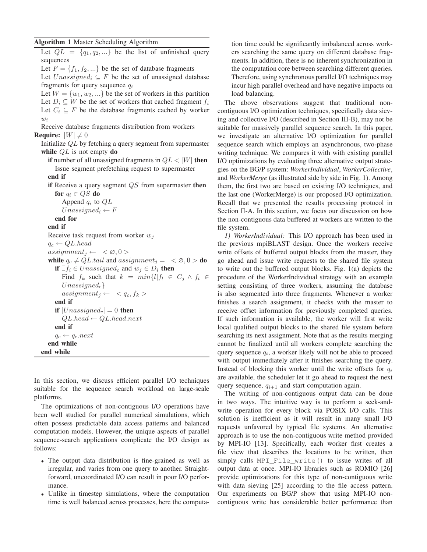## **Algorithm 1** Master Scheduling Algorithm

Let  $QL = \{q_1, q_2, ...\}$  be the list of unfinished query sequences Let  $F = \{f_1, f_2, ...\}$  be the set of database fragments Let  $Unassigned_i \subseteq F$  be the set of unassigned database fragments for query sequence  $q_i$ Let  $W = \{w_1, w_2, ...\}$  be the set of workers in this partition Let  $D_i \subseteq W$  be the set of workers that cached fragment  $f_i$ Let  $C_i \subseteq F$  be the database fragments cached by worker  $w_i$ Receive database fragments distribution from workers **Require:**  $|W| \neq 0$ Initialize QL by fetching a query segment from supermaster **while** QL is not empty **do if** number of all unassigned fragments in  $QL < |W|$  then Issue segment prefetching request to supermaster **end if if** Receive a query segment QS from supermaster **then for**  $q_i \in QS$  **do** Append  $q_i$  to  $QL$  $Unassigned_i \leftarrow F$ **end for end if** Receive task request from worker  $w_i$  $q_c \leftarrow QL.head$  $assignment_i \leftarrow \langle \emptyset, 0 \rangle$ **while**  $q_c \neq QL$  tail and assignment<sub>i</sub> =  $\langle \emptyset, 0 \rangle$  **do if**  $\exists f_i \in Unassigned_c$  and  $w_i \in D_i$  **then** Find  $f_k$  such that  $k = min{l | f_l \in C_j \land f_l \in I}$  $Unassigned_c\}$  $assignment_j \leftarrow \langle q_c, f_k \rangle$ **end if if**  $|Unassigned_c| = 0$  **then**  $QL.head \leftarrow QL.head.next$ **end if**  $q_c \leftarrow q_c.next$ **end while end while**

In this section, we discuss efficient parallel I/O techniques suitable for the sequence search workload on large-scale platforms.

The optimizations of non-contiguous I/O operations have been well studied for parallel numerical simulations, which often possess predictable data access patterns and balanced computation models. However, the unique aspects of parallel sequence-search applications complicate the I/O design as follows:

- The output data distribution is fine-grained as well as irregular, and varies from one query to another. Straightforward, uncoordinated I/O can result in poor I/O performance.
- Unlike in timestep simulations, where the computation time is well balanced across processes, here the computa-

tion time could be significantly imbalanced across workers searching the same query on different database fragments. In addition, there is no inherent synchronization in the computation core between searching different queries. Therefore, using synchronous parallel I/O techniques may incur high parallel overhead and have negative impacts on load balancing.

The above observations suggest that traditional noncontiguous I/O optimization techniques, specifically data sieving and collective I/O (described in Section III-B), may not be suitable for massively parallel sequence search. In this paper, we investigate an alternative I/O optimization for parallel sequence search which employs an asynchronous, two-phase writing technique. We compares it with with existing parallel I/O optimizations by evaluating three alternative output strategies on the BG/P system: *WorkerIndividual*, *WorkerCollective*, and *WorkerMerge* (as illustrated side by side in Fig. 1). Among them, the first two are based on existing I/O techniques, and the last one (WorkerMerge) is our proposed I/O optimization. Recall that we presented the results processing protocol in Section II-A. In this section, we focus our discussion on how the non-contiguous data buffered at workers are written to the file system.

*1) WorkerIndividual:* This I/O approach has been used in the previous mpiBLAST design. Once the workers receive write offsets of buffered output blocks from the master, they go ahead and issue write requests to the shared file system to write out the buffered output blocks. Fig. 1(a) depicts the procedure of the WorkerIndividual strategy with an example setting consisting of three workers, assuming the database is also segmented into three fragments. Whenever a worker finishes a search assignment, it checks with the master to receive offset information for previously completed queries. If such information is available, the worker will first write local qualified output blocks to the shared file system before searching its next assignment. Note that as the results merging cannot be finalized until all workers complete searching the query sequence  $q_i$ , a worker likely will not be able to proceed with output immediately after it finishes searching the query. Instead of blocking this worker until the write offsets for  $q_i$ are available, the scheduler let it go ahead to request the next query sequence,  $q_{i+1}$  and start computation again.

The writing of non-contiguous output data can be done in two ways. The intuitive way is to perform a seek-andwrite operation for every block via POSIX I/O calls. This solution is inefficient as it will result in many small I/O requests unfavored by typical file systems. An alternative approach is to use the non-contiguous write method provided by MPI-IO [13]. Specifically, each worker first creates a file view that describes the locations to be written, then simply calls MPI\_File\_write() to issue writes of all output data at once. MPI-IO libraries such as ROMIO [26] provide optimizations for this type of non-contiguous write with data sieving [25] according to the file access pattern. Our experiments on BG/P show that using MPI-IO noncontiguous write has considerable better performance than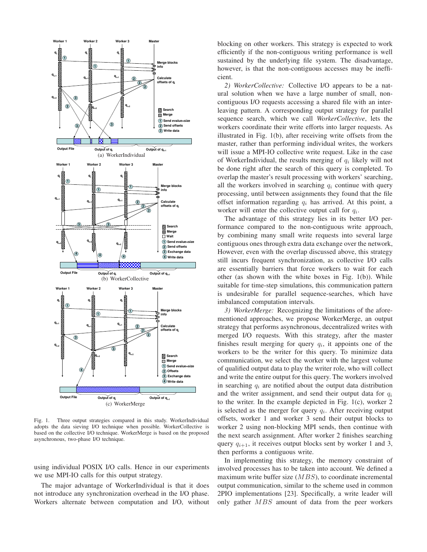

Fig. 1. Three output strategies compared in this study. WorkerIndividual adopts the data sieving I/O technique when possible. WorkerCollective is based on the collective I/O technique. WorkerMerge is based on the proposed asynchronous, two-phase I/O technique.

using individual POSIX I/O calls. Hence in our experiments we use MPI-IO calls for this output strategy.

The major advantage of WorkerIndividual is that it does not introduce any synchronization overhead in the I/O phase. Workers alternate between computation and I/O, without

blocking on other workers. This strategy is expected to work efficiently if the non-contiguous writing performance is well sustained by the underlying file system. The disadvantage, however, is that the non-contiguous accesses may be inefficient.

*2) WorkerCollective:* Collective I/O appears to be a natural solution when we have a large number of small, noncontiguous I/O requests accessing a shared file with an interleaving pattern. A corresponding output strategy for parallel sequence search, which we call *WorkerCollective*, lets the workers coordinate their write efforts into larger requests. As illustrated in Fig. 1(b), after receiving write offsets from the master, rather than performing individual writes, the workers will issue a MPI-IO collective write request. Like in the case of WorkerIndividual, the results merging of  $q_i$  likely will not be done right after the search of this query is completed. To overlap the master's result processing with workers' searching, all the workers involved in searching  $q_i$  continue with query processing, until between assignments they found that the file offset information regarding  $q_i$  has arrived. At this point, a worker will enter the collective output call for  $q_i$ .

The advantage of this strategy lies in its better I/O performance compared to the non-contiguous write approach, by combining many small write requests into several large contiguous ones through extra data exchange over the network, However, even with the overlap discussed above, this strategy still incurs frequent synchronization, as collective I/O calls are essentially barriers that force workers to wait for each other (as shown with the white boxes in Fig. 1(b)). While suitable for time-step simulations, this communication pattern is undesirable for parallel sequence-searches, which have imbalanced computation intervals.

*3) WorkerMerge:* Recognizing the limitations of the aforementioned approaches, we propose WorkerMerge, an output strategy that performs asynchronous, decentralized writes with merged I/O requests. With this strategy, after the master finishes result merging for query  $q_i$ , it appoints one of the workers to be the writer for this query. To minimize data communication, we select the worker with the largest volume of qualified output data to play the writer role, who will collect and write the entire output for this query. The workers involved in searching  $q_i$  are notified about the output data distribution and the writer assignment, and send their output data for  $q_i$ to the writer. In the example depicted in Fig. 1(c), worker 2 is selected as the merger for query  $q_i$ . After receiving output offsets, worker 1 and worker 3 send their output blocks to worker 2 using non-blocking MPI sends, then continue with the next search assignment. After worker 2 finishes searching query  $q_{i+1}$ , it receives output blocks sent by worker 1 and 3, then performs a contiguous write.

In implementing this strategy, the memory constraint of involved processes has to be taken into account. We defined a maximum write buffer size  $(MBS)$ , to coordinate incremental output communication, similar to the scheme used in common 2PIO implementations [23]. Specifically, a write leader will only gather MBS amount of data from the peer workers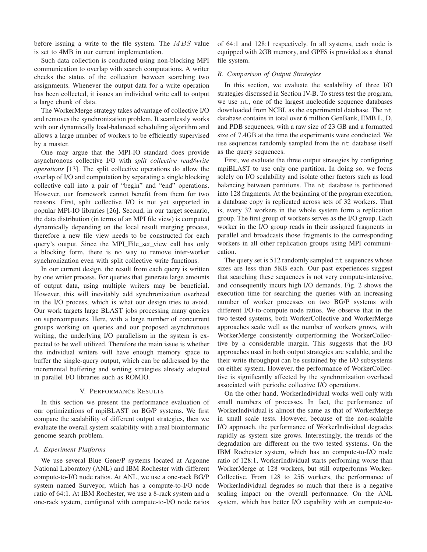before issuing a write to the file system. The MBS value is set to 4MB in our current implementation.

Such data collection is conducted using non-blocking MPI communication to overlap with search computations. A writer checks the status of the collection between searching two assignments. Whenever the output data for a write operation has been collected, it issues an individual write call to output a large chunk of data.

The WorkerMerge strategy takes advantage of collective I/O and removes the synchronization problem. It seamlessly works with our dynamically load-balanced scheduling algorithm and allows a large number of workers to be efficiently supervised by a master.

One may argue that the MPI-IO standard does provide asynchronous collective I/O with *split collective read/write operations* [13]. The split collective operations do allow the overlap of I/O and computation by separating a single blocking collective call into a pair of "begin" and "end" operations. However, our framework cannot benefit from them for two reasons. First, split collective I/O is not yet supported in popular MPI-IO libraries [26]. Second, in our target scenario, the data distribution (in terms of an MPI file view) is computed dynamically depending on the local result merging process, therefore a new file view needs to be constructed for each query's output. Since the MPI\_File\_set\_view call has only a blocking form, there is no way to remove inter-worker synchronization even with split collective write functions.

In our current design, the result from each query is written by one writer process. For queries that generate large amounts of output data, using multiple writers may be beneficial. However, this will inevitably add synchronization overhead in the I/O process, which is what our design tries to avoid. Our work targets large BLAST jobs processing many queries on supercomputers. Here, with a large number of concurrent groups working on queries and our proposed asynchronous writing, the underlying I/O parallelism in the system is expected to be well utilized. Therefore the main issue is whether the individual writers will have enough memory space to buffer the single-query output, which can be addressed by the incremental buffering and writing strategies already adopted in parallel I/O libraries such as ROMIO.

#### V. PERFORMANCE RESULTS

In this section we present the performance evaluation of our optimizations of mpiBLAST on BG/P systems. We first compare the scalability of different output strategies, then we evaluate the overall system scalability with a real bioinformatic genome search problem.

## *A. Experiment Platforms*

We use several Blue Gene/P systems located at Argonne National Laboratory (ANL) and IBM Rochester with different compute-to-I/O node ratios. At ANL, we use a one-rack BG/P system named Surveyor, which has a compute-to-I/O node ratio of 64:1. At IBM Rochester, we use a 8-rack system and a one-rack system, configured with compute-to-I/O node ratios

of 64:1 and 128:1 respectively. In all systems, each node is equipped with 2GB memory, and GPFS is provided as a shared file system.

## *B. Comparison of Output Strategies*

In this section, we evaluate the scalability of three I/O strategies discussed in Section IV-B. To stress test the program, we use nt, one of the largest nucleotide sequence databases downloaded from NCBI, as the experimental database. The nt database contains in total over 6 million GenBank, EMB L, D, and PDB sequences, with a raw size of 23 GB and a formatted size of 7.4GB at the time the experiments were conducted. We use sequences randomly sampled from the nt database itself as the query sequences.

First, we evaluate the three output strategies by configuring mpiBLAST to use only one partition. In doing so, we focus solely on I/O scalability and isolate other factors such as load balancing between partitions. The nt database is partitioned into 128 fragments. At the beginning of the program execution, a database copy is replicated across sets of 32 workers. That is, every 32 workers in the whole system form a replication group. The first group of workers serves as the I/O group. Each worker in the I/O group reads in their assigned fragments in parallel and broadcasts those fragments to the corresponding workers in all other replication groups using MPI communication.

The query set is 512 randomly sampled nt sequences whose sizes are less than 5KB each. Our past experiences suggest that searching these sequences is not very compute-intensive, and consequently incurs high I/O demands. Fig. 2 shows the execution time for searching the queries with an increasing number of worker processes on two BG/P systems with different I/O-to-compute node ratios. We observe that in the two tested systems, both WorkerCollective and WorkerMerge approaches scale well as the number of workers grows, with WorkerMerge consistently outperforming the WorkerCollective by a considerable margin. This suggests that the I/O approaches used in both output strategies are scalable, and the their write throughput can be sustained by the I/O subsystems on either system. However, the performance of WorkerCollective is significantly affected by the synchronization overhead associated with periodic collective I/O operations.

On the other hand, WorkerIndividual works well only with small numbers of processes. In fact, the performance of WorkerIndividual is almost the same as that of WorkerMerge in small scale tests. However, because of the non-scalable I/O approach, the performance of WorkerIndividual degrades rapidly as system size grows. Interestingly, the trends of the degradation are different on the two tested systems. On the IBM Rochester system, which has an compute-to-I/O node ratio of 128:1, WorkerIndividual starts performing worse than WorkerMerge at 128 workers, but still outperforms Worker-Collective. From 128 to 256 workers, the performance of WorkerIndividual degrades so much that there is a negative scaling impact on the overall performance. On the ANL system, which has better I/O capability with an compute-to-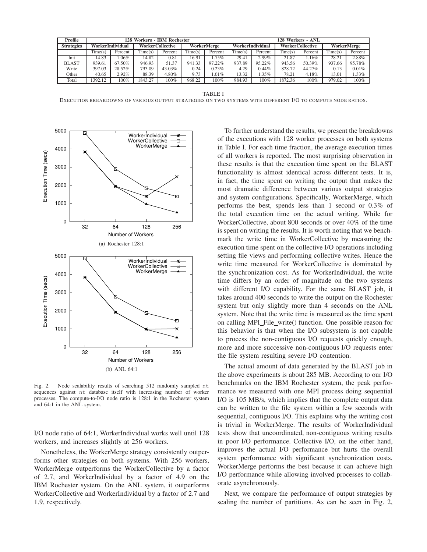| Profile           | 128 Workers - IBM Rochester |         |                         |         |             |         | 128 Workers - ANL |          |                         |         |                    |          |
|-------------------|-----------------------------|---------|-------------------------|---------|-------------|---------|-------------------|----------|-------------------------|---------|--------------------|----------|
| <b>Strategies</b> | WorkerIndividual            |         | <b>WorkerCollective</b> |         | WorkerMerge |         | WorkerIndividual  |          | <b>WorkerCollective</b> |         | <b>WorkerMerge</b> |          |
|                   | Time(s)                     | Percent | Time(s)                 | Percent | Time(s)     | Percent | Time(s)           | Percent  | Time(s)                 | Percent | Time(s)            | Percent  |
| Init              | 14.83                       | .06%    | 14.82                   | 0.81    | 16.91       | .75%    | 29.41             | $2.99\%$ | 21.87                   | .16%    | 28.21              | $2.88\%$ |
| <b>BLAST</b>      | 939.61                      | 67.50%  | 946.93                  | 51.37   | 941.33      | 97.22%  | 937.89            | 95.22%   | 943.56                  | 50.39%  | 937.66             | 95.78%   |
| Write             | 397.03                      | 28.52%  | 793.09                  | 43.03%  | 0.24        | 0.23%   | 4.29              | 0.44%    | 828.72                  | 44.27%  | 0.13               | $0.01\%$ |
| Other             | 40.65                       | 2.92%   | 88.39                   | 4.80%   | 9.73        | .01%    | 13.32             | $.35\%$  | 78.21                   | 4.18%   | 13.01              | 1.33%    |
| Total             | 392.12                      | 100%    | 1843.27                 | 100%    | 968.22      | 100%    | 984.93            | $100\%$  | 1872.36                 | $100\%$ | 979.02             | 100%     |

TABLE I

EXECUTION BREAKDOWNS OF VARIOUS OUTPUT STRATEGIES ON TWO SYSTEMS WITH DIFFERENT I/O TO COMPUTE NODE RATIOS.



Fig. 2. Node scalability results of searching 512 randomly sampled nt sequences against nt database itself with increasing number of worker processes. The compute-to-I/O node ratio is 128:1 in the Rochester system and 64:1 in the ANL system.

I/O node ratio of 64:1, WorkerIndividual works well until 128 workers, and increases slightly at 256 workers.

Nonetheless, the WorkerMerge strategy consistently outperforms other strategies on both systems. With 256 workers, WorkerMerge outperforms the WorkerCollective by a factor of 2.7, and WorkerIndividual by a factor of 4.9 on the IBM Rochester system. On the ANL system, it outperforms WorkerCollective and WorkerIndividual by a factor of 2.7 and 1.9, respectively.

To further understand the results, we present the breakdowns of the executions with 128 worker processes on both systems in Table I. For each time fraction, the average execution times of all workers is reported. The most surprising observation in these results is that the execution time spent on the BLAST functionality is almost identical across different tests. It is, in fact, the time spent on writing the output that makes the most dramatic difference between various output strategies and system configurations. Specifically, WorkerMerge, which performs the best, spends less than 1 second or 0.3% of the total execution time on the actual writing. While for WorkerCollective, about 800 seconds or over 40% of the time is spent on writing the results. It is worth noting that we benchmark the write time in WorkerCollective by measuring the execution time spent on the collective I/O operations including setting file views and performing collective writes. Hence the write time measured for WorkerCollective is dominated by the synchronization cost. As for WorkerIndividual, the write time differs by an order of magnitude on the two systems with different I/O capability. For the same BLAST job, it takes around 400 seconds to write the output on the Rochester system but only slightly more than 4 seconds on the ANL system. Note that the write time is measured as the time spent on calling MPI\_File\_write() function. One possible reason for this behavior is that when the I/O subsystem is not capable to process the non-contiguous I/O requests quickly enough, more and more successive non-contiguous I/O requests enter the file system resulting severe I/O contention.

The actual amount of data generated by the BLAST job in the above experiments is about 285 MB. According to our I/O benchmarks on the IBM Rochester system, the peak performance we measured with one MPI process doing sequential I/O is 105 MB/s, which implies that the complete output data can be written to the file system within a few seconds with sequential, contiguous I/O. This explains why the writing cost is trivial in WorkerMerge. The results of WorkerIndividual tests show that uncoordinated, non-contiguous writing results in poor I/O performance. Collective I/O, on the other hand, improves the actual I/O performance but hurts the overall system performance with significant synchronization costs. WorkerMerge performs the best because it can achieve high I/O performance while allowing involved processes to collaborate asynchronously.

Next, we compare the performance of output strategies by scaling the number of partitions. As can be seen in Fig. 2,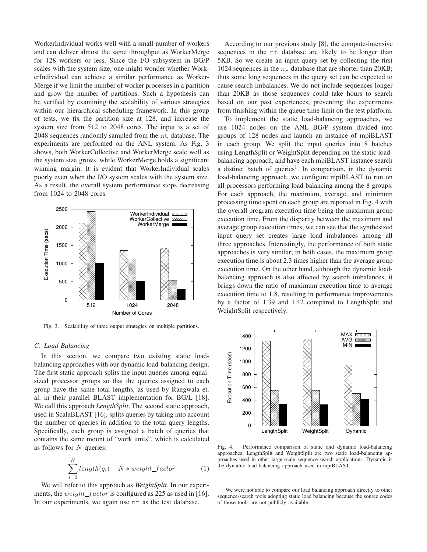WorkerIndividual works well with a small number of workers and can deliver almost the same throughput as WorkerMerge for 128 workers or less. Since the I/O subsystem in BG/P scales with the system size, one might wonder whether WorkerIndividual can achieve a similar performance as Worker-Merge if we limit the number of worker processes in a partition and grow the number of partitions. Such a hypothesis can be verified by examining the scalability of various strategies within our hierarchical scheduling framework. In this group of tests, we fix the partition size at 128, and increase the system size from 512 to 2048 cores. The input is a set of 2048 sequences randomly sampled from the nt database. The experiments are performed on the ANL system. As Fig. 3 shows, both WorkerCollective and WorkerMerge scale well as the system size grows, while WorkerMerge holds a significant winning margin. It is evident that WorkerIndividual scales poorly even when the I/O system scales with the system size. As a result, the overall system performance stops decreasing from 1024 to 2048 cores.



Fig. 3. Scalability of three output strategies on multiple partitions.

## *C. Load Balancing*

In this section, we compare two existing static loadbalancing approaches with our dynamic load-balancing design. The first static approach splits the input queries among equalsized processor groups so that the queries assigned to each group have the same total lengths, as used by Rangwala et. al. in their parallel BLAST implementation for BG/L [18]. We call this approach *LengthSplit*. The second static approach, used in ScalaBLAST [16], splits queries by taking into account the number of queries in addition to the total query lengths. Specifically, each group is assigned a batch of queries that contains the same mount of "work units", which is calculated as follows for  $N$  queries:

$$
\sum_{i=0}^{N} length(q_i) + N * weight\_factor \qquad (1)
$$

We will refer to this approach as *WeightSplit*. In our experiments, the *weight\_factor* is configured as 225 as used in [16]. In our experiments, we again use nt as the test database.

According to our previous study [8], the compute-intensive sequences in the nt database are likely to be longer than 5KB. So we create an input query set by collecting the first 1024 sequences in the nt database that are shorter than 20KB; thus some long sequences in the query set can be expected to cause search imbalances. We do not include sequences longer than 20KB as those sequences could take hours to search based on our past experiences, preventing the experiments from finishing within the queue time limit on the test platform.

To implement the static load-balancing approaches, we use 1024 nodes on the ANL BG/P system divided into groups of 128 nodes and launch an instance of mpiBLAST in each group. We split the input queries into 8 batches using LengthSplit or WeightSplit depending on the static loadbalancing approach, and have each mpiBLAST instance search a distinct batch of queries<sup>1</sup>. In comparison, in the dynamic load-balancing approach, we configure mpiBLAST to run on all processors performing load balancing among the 8 groups. For each approach, the maximum, average, and minimum processing time spent on each group are reported in Fig. 4 with the overall program execution time being the maximum group execution time. From the disparity between the maximum and average group execution times, we can see that the synthesized input query set creates large load imbalances among all three approaches. Interestingly, the performance of both static approaches is very similar; in both cases, the maximum group execution time is about 2.3 times higher than the average group execution time. On the other hand, although the dynamic loadbalancing approach is also affected by search imbalances, it brings down the ratio of maximum execution time to average execution time to 1.8, resulting in performance improvements by a factor of 1.39 and 1.42 compared to LengthSplit and WeightSplit respectively.



Fig. 4. Performance comparison of static and dynamic load-balancing approaches. LengthSplit and WeightSplit are two static load-balancing approaches used in other large-scale sequence-search applications. Dynamic is the dynamic load-balancing approach used in mpiBLAST.

<sup>1</sup>We were not able to compare our load balancing approach directly to other sequence-search tools adopting static load balancing because the source codes of those tools are not publicly available.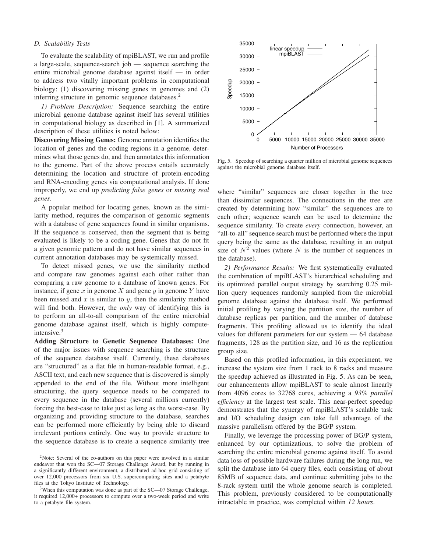#### *D. Scalability Tests*

To evaluate the scalability of mpiBLAST, we run and profile a large-scale, sequence-search job — sequence searching the entire microbial genome database against itself — in order to address two vitally important problems in computational biology: (1) discovering missing genes in genomes and (2) inferring structure in genomic sequence databases.<sup>2</sup>

*1) Problem Description:* Sequence searching the entire microbial genome database against itself has several utilities in computational biology as described in [1]. A summarized description of these utilities is noted below:

**Discovering Missing Genes:** Genome annotation identifies the location of genes and the coding regions in a genome, determines what those genes do, and then annotates this information to the genome. Part of the above process entails accurately determining the location and structure of protein-encoding and RNA-encoding genes via computational analysis. If done improperly, we end up *predicting false genes* or *missing real genes*.

A popular method for locating genes, known as the similarity method, requires the comparison of genomic segments with a database of gene sequences found in similar organisms. If the sequence is conserved, then the segment that is being evaluated is likely to be a coding gene. Genes that do not fit a given genomic pattern and do not have similar sequences in current annotation databases may be systemically missed.

To detect missed genes, we use the similarity method and compare raw genomes against each other rather than comparing a raw genome to a database of known genes. For instance, if gene  $x$  in genome  $X$  and gene  $y$  in genome  $Y$  have been missed and  $x$  is similar to  $y$ , then the similarity method will find both. However, the *only* way of identifying this is to perform an all-to-all comparison of the entire microbial genome database against itself, which is highly computeintensive.<sup>3</sup>

**Adding Structure to Genetic Sequence Databases:** One of the major issues with sequence searching is the structure of the sequence database itself. Currently, these databases are "structured" as a flat file in human-readable format, e.g., ASCII text, and each new sequence that is discovered is simply appended to the end of the file. Without more intelligent structuring, the query sequence needs to be compared to every sequence in the database (several millions currently) forcing the best-case to take just as long as the worst-case. By organizing and providing structure to the database, searches can be performed more efficiently by being able to discard irrelevant portions entirely. One way to provide structure to the sequence database is to create a sequence similarity tree



Fig. 5. Speedup of searching a quarter million of microbial genome sequences against the microbial genome database itself.

where "similar" sequences are closer together in the tree than dissimilar sequences. The connections in the tree are created by determining how "similar" the sequences are to each other; sequence search can be used to determine the sequence similarity. To create *every* connection, however, an "all-to-all" sequence search must be performed where the input query being the same as the database, resulting in an output size of  $N^2$  values (where N is the number of sequences in the database).

*2) Performance Results:* We first systematically evaluated the combination of mpiBLAST's hierarchical scheduling and its optimized parallel output strategy by searching 0.25 million query sequences randomly sampled from the microbial genome database against the database itself. We performed initial profiling by varying the partition size, the number of database replicas per partition, and the number of database fragments. This profiling allowed us to identify the ideal values for different parameters for our system — 64 database fragments, 128 as the partition size, and 16 as the replication group size.

Based on this profiled information, in this experiment, we increase the system size from 1 rack to 8 racks and measure the speedup achieved as illustrated in Fig. 5. As can be seen, our enhancements allow mpiBLAST to scale almost linearly from 4096 cores to 32768 cores, achieving a *93% parallel efficiency* at the largest test scale. This near-perfect speedup demonstrates that the synergy of mpiBLAST's scalable task and I/O scheduling design can take full advantage of the massive parallelism offered by the BG/P system.

Finally, we leverage the processing power of BG/P system, enhanced by our optimizations, to solve the problem of searching the entire microbial genome against itself. To avoid data loss of possible hardware failures during the long run, we split the database into 64 query files, each consisting of about 85MB of sequence data, and continue submitting jobs to the 8-rack system until the whole genome search is completed. This problem, previously considered to be computationally intractable in practice, was completed within *12 hours*.

<sup>&</sup>lt;sup>2</sup>Note: Several of the co-authors on this paper were involved in a similar endeavor that won the SC—07 Storage Challenge Award, but by running in a significantly different environment, a distributed ad-hoc grid consisting of over 12,000 processors from six U.S. supercomputing sites and a petabyte files at the Tokyo Institute of Technology.

 $3$ When this computation was done as part of the SC—07 Storage Challenge, it required 12,000+ processors to compute over a two-week period and write to a petabyte file system.